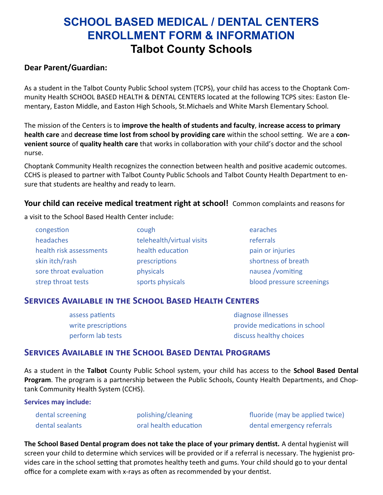### **SCHOOL BASED MEDICAL / DENTAL CENTERS ENROLLMENT FORM & INFORMATION Talbot County Schools**

### **Dear Parent/Guardian:**

As a student in the Talbot County Public School system (TCPS), your child has access to the Choptank Community Health SCHOOL BASED HEALTH & DENTAL CENTERS located at the following TCPS sites: Easton Elementary, Easton Middle, and Easton High Schools, St.Michaels and White Marsh Elementary School.

The mission of the Centers is to **improve the health of students and faculty**, **increase access to primary health care** and **decrease time lost from school by providing care** within the school setting. We are a **convenient source** of **quality health care** that works in collaboration with your child's doctor and the school nurse.

Choptank Community Health recognizes the connection between health and positive academic outcomes. CCHS is pleased to partner with Talbot County Public Schools and Talbot County Health Department to ensure that students are healthy and ready to learn.

### Your child can receive medical treatment right at school! Common complaints and reasons for

a visit to the School Based Health Center include:

| congestion              | cough                     | earaches                  |
|-------------------------|---------------------------|---------------------------|
| headaches               | telehealth/virtual visits | referrals                 |
| health risk assessments | health education          | pain or injuries          |
| skin itch/rash          | prescriptions             | shortness of breath       |
| sore throat evaluation  | physicals                 | nausea /vomiting          |
| strep throat tests      | sports physicals          | blood pressure screenings |

### **Services Available in the School Based Health Centers**

| assess patients     | diagnose illnesses            |
|---------------------|-------------------------------|
| write prescriptions | provide medications in school |
| perform lab tests   | discuss healthy choices       |

### **Services Available in the School Based Dental Programs**

As a student in the **Talbot** County Public School system, your child has access to the **School Based Dental Program**. The program is a partnership between the Public Schools, County Health Departments, and Choptank Community Health System (CCHS).

#### **Services may include:**

dental screening entitled by polishing/cleaning fluoride (may be applied twice) dental sealants oral health education by dental emergency referrals

**The School Based Dental program does not take the place of your primary dentist.** A dental hygienist will screen your child to determine which services will be provided or if a referral is necessary. The hygienist provides care in the school setting that promotes healthy teeth and gums. Your child should go to your dental office for a complete exam with x-rays as often as recommended by your dentist.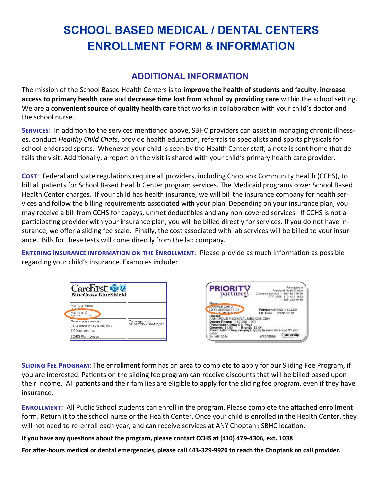## **SCHOOL BASED MEDICAL / DENTAL CENTERS ENROLLMENT FORM & INFORMATION**

### **ADDITIONAL INFORMATION**

The mission of the School Based Health Centers is to **improve the health of students and faculty**, **increase access to primary health care** and **decrease time lost from school by providing care** within the school setting. We are a **convenient source** of **quality health care** that works in collaboration with your child's doctor and the school nurse.

**Services**: In addition to the services mentioned above, SBHC providers can assist in managing chronic illnesses, conduct *Healthy Child Chats*, provide health education, referrals to specialists and sports physicals for school endorsed sports. Whenever your child is seen by the Health Center staff, a note is sent home that details the visit. Additionally, a report on the visit is shared with your child's primary health care provider.

**Cost**:Federal and state regulations require all providers, including Choptank Community Health (CCHS), to bill all patients for School Based Health Center program services. The Medicaid programs cover School Based Health Center charges. If your child has health insurance, we will bill the insurance company for health services and follow the billing requirements associated with your plan. Depending on your insurance plan, you may receive a bill from CCHS for copays, unmet deductibles and any non-covered services. If CCHS is not a participating provider with your insurance plan, you will be billed directly for services. If you do not have insurance, we offer a sliding fee scale. Finally, the cost associated with lab services will be billed to your insurance. Bills for these tests will come directly from the lab company.

**Entering Insurance information on the Enrollment**:Please provide as much information as possible regarding your child's insurance. Examples include:





**Sliding Fee Program:** The enrollment form has an area to complete to apply for our Sliding Fee Program, if you are interested. Patients on the sliding fee program can receive discounts that will be billed based upon their income. All patients and their families are eligible to apply for the sliding fee program, even if they have insurance.

**Enrollment:**All Public School students can enroll in the program. Please complete the attached enrollment form. Return it to the school nurse or the Health Center. Once your child is enrolled in the Health Center, they will not need to re-enroll each year, and can receive services at ANY Choptank SBHC location.

### **If you have any questions about the program, please contact CCHS at (410) 479-4306, ext. 1038**

**For after-hours medical or dental emergencies, please call 443-329-9920 to reach the Choptank on call provider.**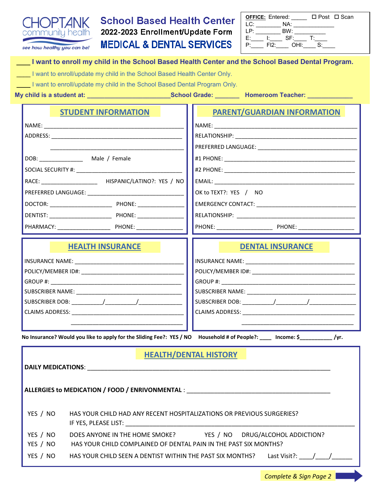

# **School Based Health Center 2022-2023**

| <b>OFFICE: Entered:</b> |      |      | □ Post □ Scan |
|-------------------------|------|------|---------------|
| LC:                     |      | NA:  |               |
| IP.                     |      | BW:  |               |
| F:                      |      | SF:  |               |
|                         | FI2. | OHI: |               |

|                                                                           | I want to enroll my child in the School Based Health Center and the School Based Dental Program.                             |  |  |  |
|---------------------------------------------------------------------------|------------------------------------------------------------------------------------------------------------------------------|--|--|--|
| I want to enroll/update my child in the School Based Health Center Only.  |                                                                                                                              |  |  |  |
| I want to enroll/update my child in the School Based Dental Program Only. |                                                                                                                              |  |  |  |
|                                                                           | My child is a student at: ___________________________School Grade: __________Homeroom Teacher: ______________                |  |  |  |
| <b>STUDENT INFORMATION</b>                                                | <b>PARENT/GUARDIAN INFORMATION</b>                                                                                           |  |  |  |
|                                                                           |                                                                                                                              |  |  |  |
|                                                                           |                                                                                                                              |  |  |  |
|                                                                           |                                                                                                                              |  |  |  |
|                                                                           |                                                                                                                              |  |  |  |
|                                                                           |                                                                                                                              |  |  |  |
|                                                                           |                                                                                                                              |  |  |  |
|                                                                           | OK to TEXT?: YES / NO                                                                                                        |  |  |  |
|                                                                           |                                                                                                                              |  |  |  |
|                                                                           |                                                                                                                              |  |  |  |
|                                                                           |                                                                                                                              |  |  |  |
| <b>HEALTH INSURANCE</b>                                                   | <b>DENTAL INSURANCE</b>                                                                                                      |  |  |  |
|                                                                           |                                                                                                                              |  |  |  |
|                                                                           |                                                                                                                              |  |  |  |
|                                                                           |                                                                                                                              |  |  |  |
|                                                                           |                                                                                                                              |  |  |  |
|                                                                           |                                                                                                                              |  |  |  |
|                                                                           |                                                                                                                              |  |  |  |
|                                                                           | No Insurance? Would you like to apply for the Sliding Fee?: YES / NO Household # of People?: ____ Income: \$____________/yr. |  |  |  |
|                                                                           |                                                                                                                              |  |  |  |
| <b>HEALTH/DENTAL HISTORY</b>                                              |                                                                                                                              |  |  |  |
| <b>DAILY MEDICATIONS:</b>                                                 |                                                                                                                              |  |  |  |
|                                                                           |                                                                                                                              |  |  |  |

| YES / NO             | HAS YOUR CHILD HAD ANY RECENT HOSPITALIZATIONS OR PREVIOUS SURGERIES?<br>IF YES, PLEASE LIST:                                          |  |  |  |  |
|----------------------|----------------------------------------------------------------------------------------------------------------------------------------|--|--|--|--|
| YES / NO<br>YES / NO | YES / NO DRUG/ALCOHOL ADDICTION?<br>DOES ANYONE IN THE HOME SMOKE?<br>HAS YOUR CHILD COMPLAINED OF DENTAL PAIN IN THE PAST SIX MONTHS? |  |  |  |  |
| YES / NO             | HAS YOUR CHILD SEEN A DENTIST WITHIN THE PAST SIX MONTHS?<br>Last Visit?: $/$ /                                                        |  |  |  |  |